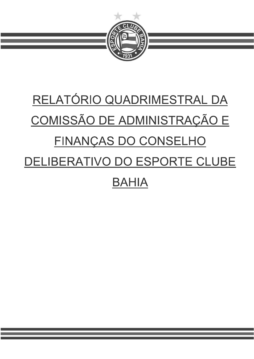

## RELATÓRIO QUADRIMESTRAL DA COMISSÃO DE ADMINISTRAÇÃO E FINANÇAS DO CONSELHO DELIBERATIVO DO ESPORTE CLUBE **BAHIA**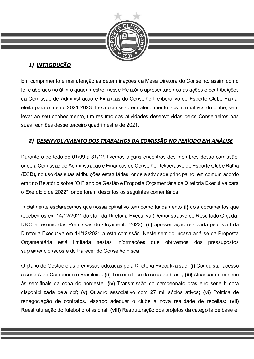

## 1) INTRODUÇÃO

Em cumprimento e manutenção as determinações da Mesa Diretora do Conselho, assim como foi elaborado no último quadrimestre, nesse Relatório apresentaremos as ações e contribuições da Comissão de Administração e Finanças do Conselho Deliberativo do Esporte Clube Bahia, eleita para o triênio 2021-2023. Essa comissão em atendimento aos normativos do clube, vem levar ao seu conhecimento, um resumo das atividades desenvolvidas pelos Conselheiros nas suas reuniões desse terceiro quadrimestre de 2021.

## 2) DESENVOLVIMENTO DOS TRABALHOS DA COMISSÃO NO PERÍODO EM ANÁLISE

Durante o período de 01/09 a 31/12, tivemos alguns encontros dos membros dessa comissão, onde a Comissão de Administração e Finanças do Conselho Deliberativo do Esporte Clube Bahia (ECB), no uso das suas atribuições estatutárias, onde a atividade principal foi em comum acordo emitir o Relatório sobre "O Plano de Gestão e Proposta Orçamentária da Diretoria Executiva para o Exercício de 2022", onde foram descritos os seguintes comentários:

Inicialmente esclarecemos que nossa opinativo tem como fundamento (i) dois documentos que recebemos em 14/12/2021 do staff da Diretoria Executiva (Demonstrativo do Resultado Orçada-DRO e resumo das Premissas do Orçamento 2022); (ii) apresentação realizada pelo staff da Diretoria Executiva em 14/12/2021 a esta comissão. Neste sentido, nossa análise da Proposta Orcamentária está limitada nestas informações que obtivemos pressupostos dos supramencionados e do Parecer do Conselho Fiscal.

O plano de Gestão e as premissas adotadas pela Diretoria Executiva são: (i) Conquistar acesso à série A do Campeonato Brasileiro: (ii) Terceira fase da copa do brasil; (iii) Alcançar no mínimo às semifinais da copa do nordeste; (iv) Transmissão do campeonato brasileiro serie b cota disponibilizada pela cbf; (v) Quadro associativo com 27 mil sócios ativos; (vi) Política de renegociação de contratos, visando adequar o clube a nova realidade de receitas; (vii) Reestruturação do futebol profissional; (viii) Restruturação dos projetos da categoria de base e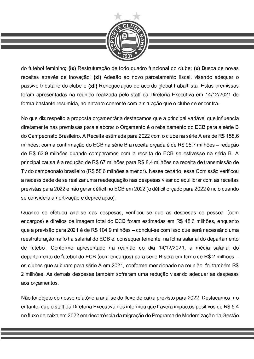

do futebol feminino; (ix) Restruturação de todo quadro funcional do clube; (x) Busca de novas receitas através de inovação; (xi) Adesão ao novo parcelamento fiscal, visando adequar o passivo tributário do clube e (xii) Renegociação do acordo global trabalhista. Estas premissas foram apresentadas na reunião realizada pelo staff da Diretoria Executiva em 14/12/2021 de forma bastante resumida, no entanto coerente com a situação que o clube se encontra.

No que diz respeito a proposta orçamentária destacamos que a principal variável que influencia diretamente nas premissas para elaborar o Orçamento é o rebaixamento do ECB para a série B do Campeonato Brasileiro. A Receita estimada para 2022 com o clube na série A era de R\$ 158,6 milhões; com a confirmação do ECB na série B a receita orçada é de R\$ 95,7 milhões – redução de R\$ 62,9 milhões quando comparamos com a receita do ECB se estivesse na séria B. A principal causa é a redução de R\$ 67 milhões para R\$ 8,4 milhões na receita de transmissão de Tv do campeonato brasileiro (R\$ 58,6 milhões a menor). Nesse cenário, essa Comissão verificou a necessidade de se realizar uma readequação nas despesas visando equilibrar com as receitas previstas para 2022 e não gerar déficit no ECB em 2022 (o déficit orçado para 2022 é nulo quando se considera amortização e depreciação).

Quando se efetuou análise das despesas, verificou-se que as despesas de pessoal (com encargos) e direitos de imagem total do ECB foram estimadas em R\$ 48,6 milhões, enquanto que a previsão para 2021 é de R\$ 104,9 milhões - conclui-se com isso que será necessário uma reestruturação na folha salarial do ECB e, consequentemente, na folha salarial do departamento de futebol. Conforme apresentado na reunião do dia 14/12/2021, a média salarial do departamento de futebol do ECB (com encargos) para série B será em torno de R\$ 2 milhões os clubes que subiram para série A em 2021, conforme mencionado na reunião, foi também R\$ 2 milhões. As demais despesas também sofreram uma redução visando adequar as despesas aos orçamentos.

Não foi objeto do nosso relatório a análise do fluxo de caixa previsto para 2022. Destacamos, no entanto, que o staff da Diretoria Executiva nos informou que haverá impactos positivos de R\$ 5,4 no fluxo de caixa em 2022 em decorrência da migração do Programa de Modernização da Gestão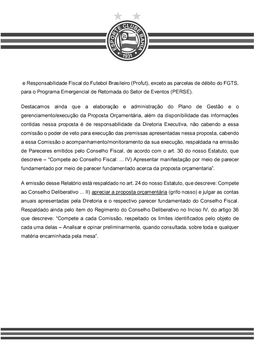

e Responsabilidade Fiscal do Futebol Brasileiro (Profut), exceto as parcelas de débito do FGTS, para o Programa Emergencial de Retomada do Setor de Eventos (PERSE).

Destacamos ainda que a elaboração e administração do Plano de Gestão  $\mathbf{e}$  $\overline{O}$ gerenciamento/execução da Proposta Orçamentária, além da disponibilidade das informações contidas nessa proposta é de responsabilidade da Diretoria Executiva, não cabendo a essa comissão o poder de veto para execução das premissas apresentadas nessa proposta, cabendo a essa Comissão o acompanhamento/monitoramento da sua execução, respaldada na emissão de Pareceres emitidos pelo Conselho Fiscal, de acordo com o art. 30 do nosso Estatuto, que descreve – "Compete ao Conselho Fiscal: ... IV) Apresentar manifestação por meio de parecer fundamentado por meio de parecer fundamentado acerca da proposta orçamentaria".

A emissão desse Relatório está respaldado no art. 24 do nosso Estatuto, que descreve: Compete ao Conselho Deliberativo ... II) apreciar a proposta orçamentária (grifo nosso) e julgar as contas anuais apresentadas pela Diretoria e o respectivo parecer fundamentado do Conselho Fiscal. Respaldado ainda pelo item do Regimento do Conselho Deliberativo no Inciso IV, do artigo 36 que descreve: "Compete a cada Comissão, respeitado os limites identificados pelo objeto de cada uma delas – Analisar e opinar preliminarmente, quando consultada, sobre toda e qualquer matéria encaminhada pela mesa".